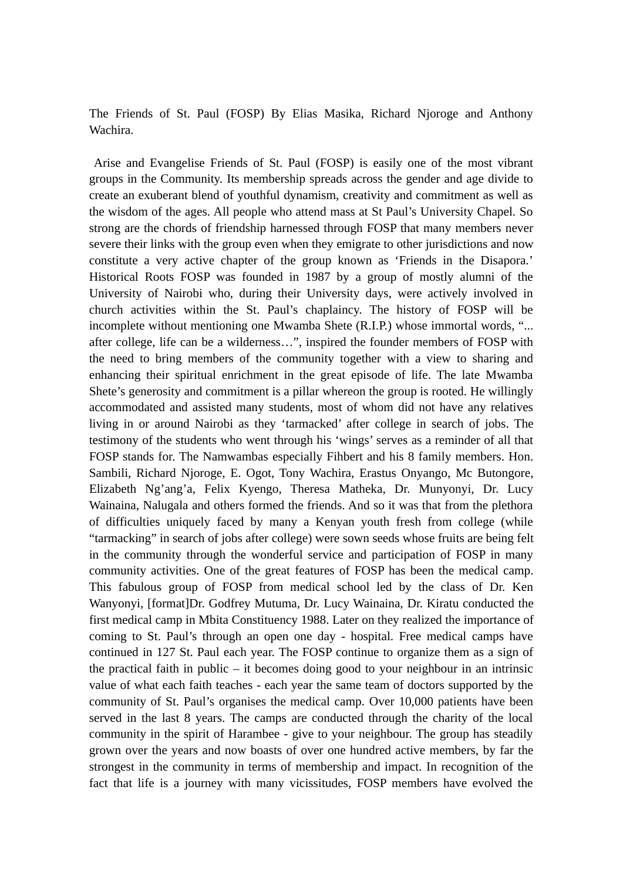The Friends of St. Paul (FOSP) By Elias Masika, Richard Njoroge and Anthony Wachira.

 Arise and Evangelise Friends of St. Paul (FOSP) is easily one of the most vibrant groups in the Community. Its membership spreads across the gender and age divide to create an exuberant blend of youthful dynamism, creativity and commitment as well as the wisdom of the ages. All people who attend mass at St Paul's University Chapel. So strong are the chords of friendship harnessed through FOSP that many members never severe their links with the group even when they emigrate to other jurisdictions and now constitute a very active chapter of the group known as 'Friends in the Disapora.' Historical Roots FOSP was founded in 1987 by a group of mostly alumni of the University of Nairobi who, during their University days, were actively involved in church activities within the St. Paul's chaplaincy. The history of FOSP will be incomplete without mentioning one Mwamba Shete (R.I.P.) whose immortal words, "... after college, life can be a wilderness…", inspired the founder members of FOSP with the need to bring members of the community together with a view to sharing and enhancing their spiritual enrichment in the great episode of life. The late Mwamba Shete's generosity and commitment is a pillar whereon the group is rooted. He willingly accommodated and assisted many students, most of whom did not have any relatives living in or around Nairobi as they 'tarmacked' after college in search of jobs. The testimony of the students who went through his 'wings' serves as a reminder of all that FOSP stands for. The Namwambas especially Fihbert and his 8 family members. Hon. Sambili, Richard Njoroge, E. Ogot, Tony Wachira, Erastus Onyango, Mc Butongore, Elizabeth Ng'ang'a, Felix Kyengo, Theresa Matheka, Dr. Munyonyi, Dr. Lucy Wainaina, Nalugala and others formed the friends. And so it was that from the plethora of difficulties uniquely faced by many a Kenyan youth fresh from college (while "tarmacking" in search of jobs after college) were sown seeds whose fruits are being felt in the community through the wonderful service and participation of FOSP in many community activities. One of the great features of FOSP has been the medical camp. This fabulous group of FOSP from medical school led by the class of Dr. Ken Wanyonyi, [format]Dr. Godfrey Mutuma, Dr. Lucy Wainaina, Dr. Kiratu conducted the first medical camp in Mbita Constituency 1988. Later on they realized the importance of coming to St. Paul's through an open one day - hospital. Free medical camps have continued in 127 St. Paul each year. The FOSP continue to organize them as a sign of the practical faith in public – it becomes doing good to your neighbour in an intrinsic value of what each faith teaches - each year the same team of doctors supported by the community of St. Paul's organises the medical camp. Over 10,000 patients have been served in the last 8 years. The camps are conducted through the charity of the local community in the spirit of Harambee - give to your neighbour. The group has steadily grown over the years and now boasts of over one hundred active members, by far the strongest in the community in terms of membership and impact. In recognition of the fact that life is a journey with many vicissitudes, FOSP members have evolved the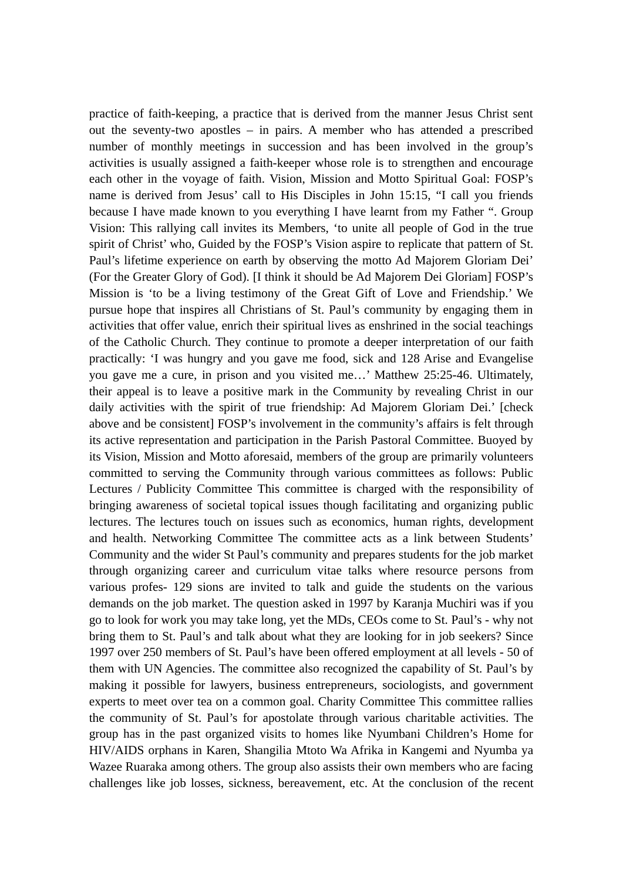practice of faith-keeping, a practice that is derived from the manner Jesus Christ sent out the seventy-two apostles – in pairs. A member who has attended a prescribed number of monthly meetings in succession and has been involved in the group's activities is usually assigned a faith-keeper whose role is to strengthen and encourage each other in the voyage of faith. Vision, Mission and Motto Spiritual Goal: FOSP's name is derived from Jesus' call to His Disciples in John 15:15, "I call you friends because I have made known to you everything I have learnt from my Father ". Group Vision: This rallying call invites its Members, 'to unite all people of God in the true spirit of Christ' who, Guided by the FOSP's Vision aspire to replicate that pattern of St. Paul's lifetime experience on earth by observing the motto Ad Majorem Gloriam Dei' (For the Greater Glory of God). [I think it should be Ad Majorem Dei Gloriam] FOSP's Mission is 'to be a living testimony of the Great Gift of Love and Friendship.' We pursue hope that inspires all Christians of St. Paul's community by engaging them in activities that offer value, enrich their spiritual lives as enshrined in the social teachings of the Catholic Church. They continue to promote a deeper interpretation of our faith practically: 'I was hungry and you gave me food, sick and 128 Arise and Evangelise you gave me a cure, in prison and you visited me…' Matthew 25:25-46. Ultimately, their appeal is to leave a positive mark in the Community by revealing Christ in our daily activities with the spirit of true friendship: Ad Majorem Gloriam Dei.' [check above and be consistent] FOSP's involvement in the community's affairs is felt through its active representation and participation in the Parish Pastoral Committee. Buoyed by its Vision, Mission and Motto aforesaid, members of the group are primarily volunteers committed to serving the Community through various committees as follows: Public Lectures / Publicity Committee This committee is charged with the responsibility of bringing awareness of societal topical issues though facilitating and organizing public lectures. The lectures touch on issues such as economics, human rights, development and health. Networking Committee The committee acts as a link between Students' Community and the wider St Paul's community and prepares students for the job market through organizing career and curriculum vitae talks where resource persons from various profes- 129 sions are invited to talk and guide the students on the various demands on the job market. The question asked in 1997 by Karanja Muchiri was if you go to look for work you may take long, yet the MDs, CEOs come to St. Paul's - why not bring them to St. Paul's and talk about what they are looking for in job seekers? Since 1997 over 250 members of St. Paul's have been offered employment at all levels - 50 of them with UN Agencies. The committee also recognized the capability of St. Paul's by making it possible for lawyers, business entrepreneurs, sociologists, and government experts to meet over tea on a common goal. Charity Committee This committee rallies the community of St. Paul's for apostolate through various charitable activities. The group has in the past organized visits to homes like Nyumbani Children's Home for HIV/AIDS orphans in Karen, Shangilia Mtoto Wa Afrika in Kangemi and Nyumba ya Wazee Ruaraka among others. The group also assists their own members who are facing challenges like job losses, sickness, bereavement, etc. At the conclusion of the recent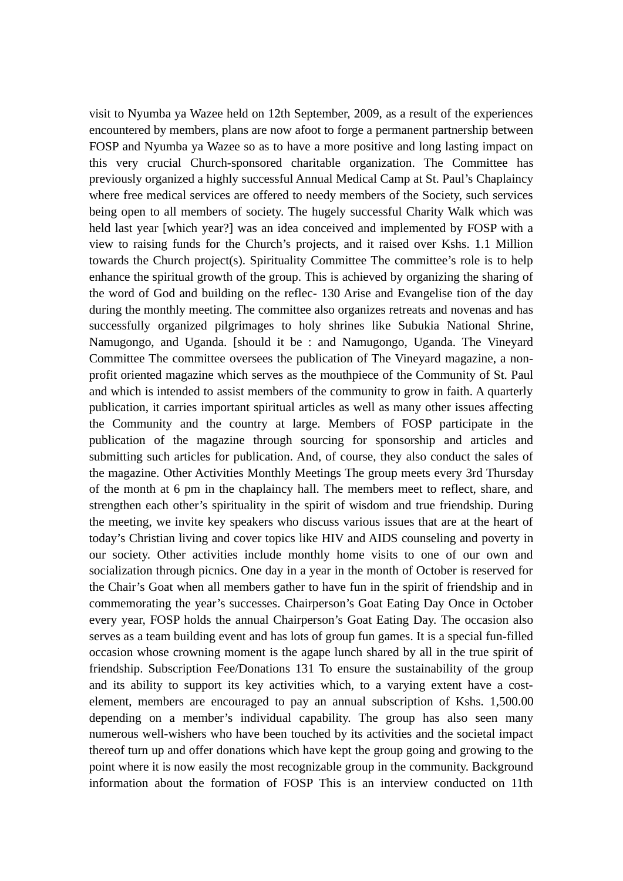visit to Nyumba ya Wazee held on 12th September, 2009, as a result of the experiences encountered by members, plans are now afoot to forge a permanent partnership between FOSP and Nyumba ya Wazee so as to have a more positive and long lasting impact on this very crucial Church-sponsored charitable organization. The Committee has previously organized a highly successful Annual Medical Camp at St. Paul's Chaplaincy where free medical services are offered to needy members of the Society, such services being open to all members of society. The hugely successful Charity Walk which was held last year [which year?] was an idea conceived and implemented by FOSP with a view to raising funds for the Church's projects, and it raised over Kshs. 1.1 Million towards the Church project(s). Spirituality Committee The committee's role is to help enhance the spiritual growth of the group. This is achieved by organizing the sharing of the word of God and building on the reflec- 130 Arise and Evangelise tion of the day during the monthly meeting. The committee also organizes retreats and novenas and has successfully organized pilgrimages to holy shrines like Subukia National Shrine, Namugongo, and Uganda. [should it be : and Namugongo, Uganda. The Vineyard Committee The committee oversees the publication of The Vineyard magazine, a nonprofit oriented magazine which serves as the mouthpiece of the Community of St. Paul and which is intended to assist members of the community to grow in faith. A quarterly publication, it carries important spiritual articles as well as many other issues affecting the Community and the country at large. Members of FOSP participate in the publication of the magazine through sourcing for sponsorship and articles and submitting such articles for publication. And, of course, they also conduct the sales of the magazine. Other Activities Monthly Meetings The group meets every 3rd Thursday of the month at 6 pm in the chaplaincy hall. The members meet to reflect, share, and strengthen each other's spirituality in the spirit of wisdom and true friendship. During the meeting, we invite key speakers who discuss various issues that are at the heart of today's Christian living and cover topics like HIV and AIDS counseling and poverty in our society. Other activities include monthly home visits to one of our own and socialization through picnics. One day in a year in the month of October is reserved for the Chair's Goat when all members gather to have fun in the spirit of friendship and in commemorating the year's successes. Chairperson's Goat Eating Day Once in October every year, FOSP holds the annual Chairperson's Goat Eating Day. The occasion also serves as a team building event and has lots of group fun games. It is a special fun-filled occasion whose crowning moment is the agape lunch shared by all in the true spirit of friendship. Subscription Fee/Donations 131 To ensure the sustainability of the group and its ability to support its key activities which, to a varying extent have a costelement, members are encouraged to pay an annual subscription of Kshs. 1,500.00 depending on a member's individual capability. The group has also seen many numerous well-wishers who have been touched by its activities and the societal impact thereof turn up and offer donations which have kept the group going and growing to the point where it is now easily the most recognizable group in the community. Background information about the formation of FOSP This is an interview conducted on 11th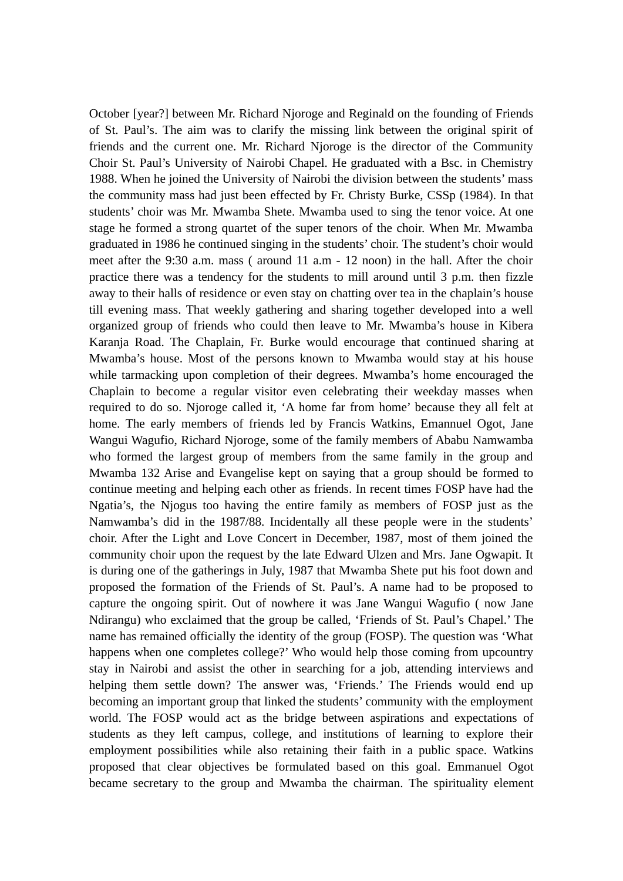October [year?] between Mr. Richard Njoroge and Reginald on the founding of Friends of St. Paul's. The aim was to clarify the missing link between the original spirit of friends and the current one. Mr. Richard Njoroge is the director of the Community Choir St. Paul's University of Nairobi Chapel. He graduated with a Bsc. in Chemistry 1988. When he joined the University of Nairobi the division between the students' mass the community mass had just been effected by Fr. Christy Burke, CSSp (1984). In that students' choir was Mr. Mwamba Shete. Mwamba used to sing the tenor voice. At one stage he formed a strong quartet of the super tenors of the choir. When Mr. Mwamba graduated in 1986 he continued singing in the students' choir. The student's choir would meet after the 9:30 a.m. mass ( around 11 a.m - 12 noon) in the hall. After the choir practice there was a tendency for the students to mill around until 3 p.m. then fizzle away to their halls of residence or even stay on chatting over tea in the chaplain's house till evening mass. That weekly gathering and sharing together developed into a well organized group of friends who could then leave to Mr. Mwamba's house in Kibera Karanja Road. The Chaplain, Fr. Burke would encourage that continued sharing at Mwamba's house. Most of the persons known to Mwamba would stay at his house while tarmacking upon completion of their degrees. Mwamba's home encouraged the Chaplain to become a regular visitor even celebrating their weekday masses when required to do so. Njoroge called it, 'A home far from home' because they all felt at home. The early members of friends led by Francis Watkins, Emannuel Ogot, Jane Wangui Wagufio, Richard Njoroge, some of the family members of Ababu Namwamba who formed the largest group of members from the same family in the group and Mwamba 132 Arise and Evangelise kept on saying that a group should be formed to continue meeting and helping each other as friends. In recent times FOSP have had the Ngatia's, the Njogus too having the entire family as members of FOSP just as the Namwamba's did in the 1987/88. Incidentally all these people were in the students' choir. After the Light and Love Concert in December, 1987, most of them joined the community choir upon the request by the late Edward Ulzen and Mrs. Jane Ogwapit. It is during one of the gatherings in July, 1987 that Mwamba Shete put his foot down and proposed the formation of the Friends of St. Paul's. A name had to be proposed to capture the ongoing spirit. Out of nowhere it was Jane Wangui Wagufio ( now Jane Ndirangu) who exclaimed that the group be called, 'Friends of St. Paul's Chapel.' The name has remained officially the identity of the group (FOSP). The question was 'What happens when one completes college?' Who would help those coming from upcountry stay in Nairobi and assist the other in searching for a job, attending interviews and helping them settle down? The answer was, 'Friends.' The Friends would end up becoming an important group that linked the students' community with the employment world. The FOSP would act as the bridge between aspirations and expectations of students as they left campus, college, and institutions of learning to explore their employment possibilities while also retaining their faith in a public space. Watkins proposed that clear objectives be formulated based on this goal. Emmanuel Ogot became secretary to the group and Mwamba the chairman. The spirituality element